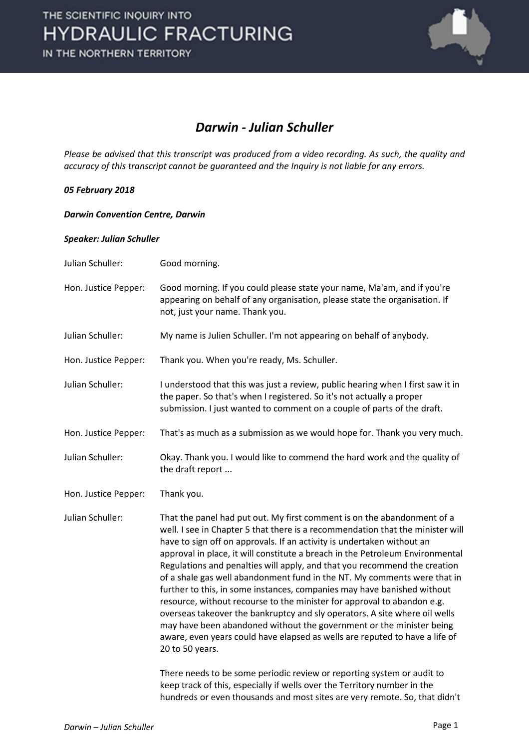

## *Darwin - Julian Schuller*

*Please be advised that this transcript was produced from a video recording. As such, the quality and accuracy of this transcript cannot be guaranteed and the Inquiry is not liable for any errors.*

### *05 February 2018*

#### *Darwin Convention Centre, Darwin*

#### *Speaker: Julian Schuller*

- Julian Schuller: Good morning. Hon. Justice Pepper: Good morning. If you could please state your name, Ma'am, and if you're appearing on behalf of any organisation, please state the organisation. If not, just your name. Thank you.
- Julian Schuller: My name is Julien Schuller. I'm not appearing on behalf of anybody.
- Hon. Justice Pepper: Thank you. When you're ready, Ms. Schuller.
- Julian Schuller: I understood that this was just a review, public hearing when I first saw it in the paper. So that's when I registered. So it's not actually a proper submission. I just wanted to comment on a couple of parts of the draft.
- Hon. Justice Pepper: That's as much as a submission as we would hope for. Thank you very much.
- Julian Schuller: Okay. Thank you. I would like to commend the hard work and the quality of the draft report ...
- Hon. Justice Pepper: Thank you.

Julian Schuller: That the panel had put out. My first comment is on the abandonment of a well. I see in Chapter 5 that there is a recommendation that the minister will have to sign off on approvals. If an activity is undertaken without an approval in place, it will constitute a breach in the Petroleum Environmental Regulations and penalties will apply, and that you recommend the creation of a shale gas well abandonment fund in the NT. My comments were that in further to this, in some instances, companies may have banished without resource, without recourse to the minister for approval to abandon e.g. overseas takeover the bankruptcy and sly operators. A site where oil wells may have been abandoned without the government or the minister being aware, even years could have elapsed as wells are reputed to have a life of 20 to 50 years.

> There needs to be some periodic review or reporting system or audit to keep track of this, especially if wells over the Territory number in the hundreds or even thousands and most sites are very remote. So, that didn't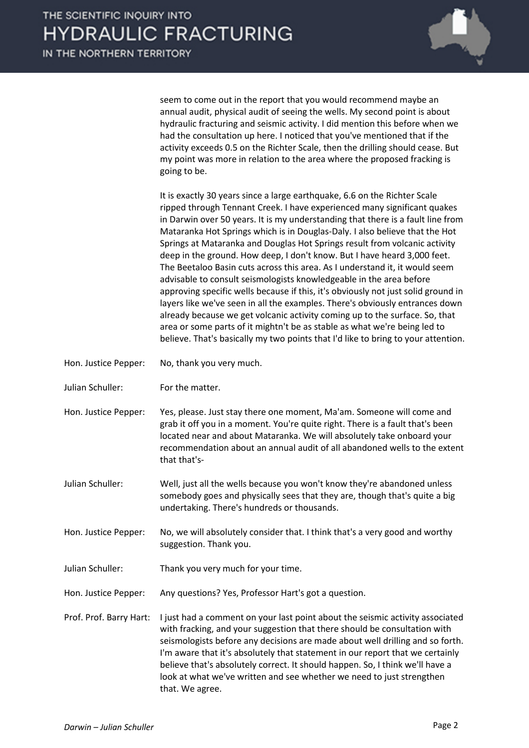

seem to come out in the report that you would recommend maybe an annual audit, physical audit of seeing the wells. My second point is about hydraulic fracturing and seismic activity. I did mention this before when we had the consultation up here. I noticed that you've mentioned that if the activity exceeds 0.5 on the Richter Scale, then the drilling should cease. But my point was more in relation to the area where the proposed fracking is going to be.

It is exactly 30 years since a large earthquake, 6.6 on the Richter Scale ripped through Tennant Creek. I have experienced many significant quakes in Darwin over 50 years. It is my understanding that there is a fault line from Mataranka Hot Springs which is in Douglas-Daly. I also believe that the Hot Springs at Mataranka and Douglas Hot Springs result from volcanic activity deep in the ground. How deep, I don't know. But I have heard 3,000 feet. The Beetaloo Basin cuts across this area. As I understand it, it would seem advisable to consult seismologists knowledgeable in the area before approving specific wells because if this, it's obviously not just solid ground in layers like we've seen in all the examples. There's obviously entrances down already because we get volcanic activity coming up to the surface. So, that area or some parts of it mightn't be as stable as what we're being led to believe. That's basically my two points that I'd like to bring to your attention.

- Hon. Justice Pepper: No, thank you very much.
- Julian Schuller: For the matter.
- Hon. Justice Pepper: Yes, please. Just stay there one moment, Ma'am. Someone will come and grab it off you in a moment. You're quite right. There is a fault that's been located near and about Mataranka. We will absolutely take onboard your recommendation about an annual audit of all abandoned wells to the extent that that's-
- Julian Schuller: Well, just all the wells because you won't know they're abandoned unless somebody goes and physically sees that they are, though that's quite a big undertaking. There's hundreds or thousands.
- Hon. Justice Pepper: No, we will absolutely consider that. I think that's a very good and worthy suggestion. Thank you.
- Julian Schuller: Thank you very much for your time.
- Hon. Justice Pepper: Any questions? Yes, Professor Hart's got a question.
- Prof. Prof. Barry Hart: I just had a comment on your last point about the seismic activity associated with fracking, and your suggestion that there should be consultation with seismologists before any decisions are made about well drilling and so forth. I'm aware that it's absolutely that statement in our report that we certainly believe that's absolutely correct. It should happen. So, I think we'll have a look at what we've written and see whether we need to just strengthen that. We agree.